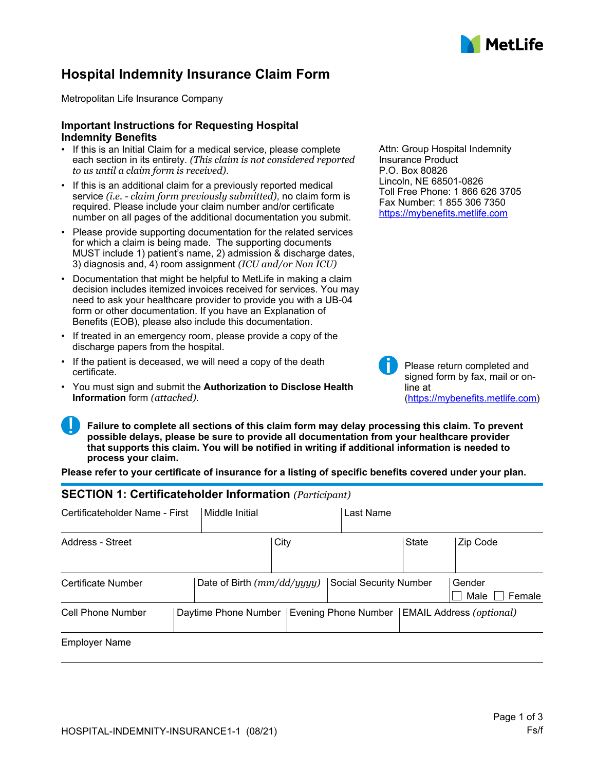

## **Hospital Indemnity Insurance Claim Form**

Metropolitan Life Insurance Company

#### **Important Instructions for Requesting Hospital Indemnity Benefits**

- If this is an Initial Claim for a medical service, please complete each section in its entirety. *(This claim is not considered reported to us until a claim form is received)*.
- If this is an additional claim for a previously reported medical service *(i.e. - claim form previously submitted)*, no claim form is required. Please include your claim number and/or certificate number on all pages of the additional documentation you submit.
- Please provide supporting documentation for the related services for which a claim is being made. The supporting documents MUST include 1) patient's name, 2) admission & discharge dates, 3) diagnosis and, 4) room assignment *(ICU and/or Non ICU)*
- Documentation that might be helpful to MetLife in making a claim decision includes itemized invoices received for services. You may need to ask your healthcare provider to provide you with a UB-04 form or other documentation. If you have an Explanation of Benefits (EOB), please also include this documentation.
- If treated in an emergency room, please provide a copy of the discharge papers from the hospital.
- If the patient is deceased, we will need a copy of the death certificate.
- You must sign and submit the **Authorization to Disclose Health Information** form *(attached)*.

Attn: Group Hospital Indemnity Insurance Product P.O. Box 80826 Lincoln, NE 68501-0826 Toll Free Phone: 1 866 626 3705 Fax Number: 1 855 306 7350 <https://mybenefits.metlife.com>



Please return completed and signed form by fax, mail or online at [\(https://mybenefits.metlife.com](https://mybenefits.metlife.com))

**Failure to complete all sections of this claim form may delay processing this claim. To prevent possible delays, please be sure to provide all documentation from your healthcare provider that supports this claim. You will be notified in writing if additional information is needed to process your claim.**

**Please refer to your certificate of insurance for a listing of specific benefits covered under your plan.**

### **SECTION 1: Certificateholder Information** *(Participant)*

| Certificateholder Name - First | Middle Initial             | Last Name                     |                          |
|--------------------------------|----------------------------|-------------------------------|--------------------------|
| Address - Street               | City                       | <b>State</b>                  | Zip Code                 |
| Certificate Number             | Date of Birth (mm/dd/yyyy) | <b>Social Security Number</b> | Gender<br>Female<br>Male |
| Cell Phone Number              | Daytime Phone Number       | Evening Phone Number          | EMAIL Address (optional) |
| <b>Employer Name</b>           |                            |                               |                          |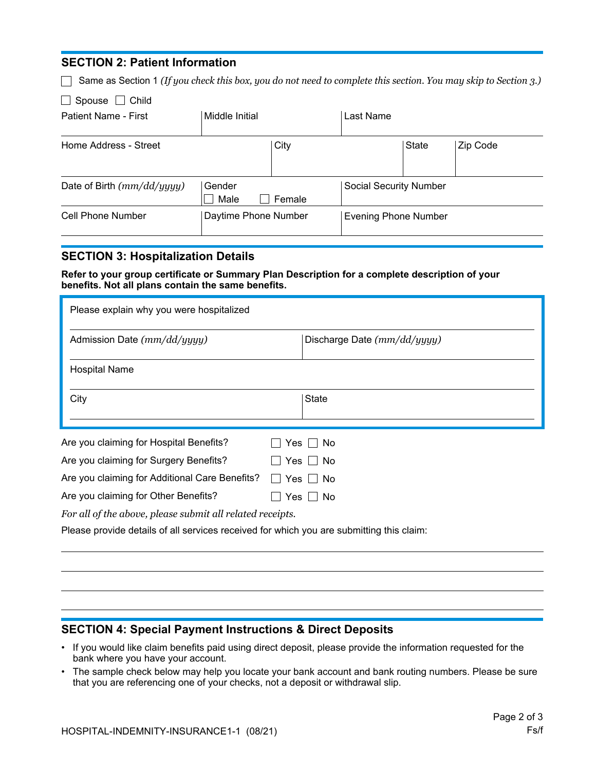### **SECTION 2: Patient Information**

Same as Section 1 *(If you check this box, you do not need to complete this section. You may skip to Section 3.)*

| Spouse |  | Child |
|--------|--|-------|
|--------|--|-------|

| Patient Name - First         | Middle Initial       |        | Last Name                     |       |          |
|------------------------------|----------------------|--------|-------------------------------|-------|----------|
| Home Address - Street        |                      | City   |                               | State | Zip Code |
| Date of Birth $(mm/dd/yyyy)$ | Gender<br>Male       | Female | <b>Social Security Number</b> |       |          |
| <b>Cell Phone Number</b>     | Daytime Phone Number |        | <b>Evening Phone Number</b>   |       |          |

### **SECTION 3: Hospitalization Details**

**Refer to your group certificate or Summary Plan Description for a complete description of your benefits. Not all plans contain the same benefits.**

| Please explain why you were hospitalized                                                 |                             |  |  |  |
|------------------------------------------------------------------------------------------|-----------------------------|--|--|--|
| Admission Date (mm/dd/yyyy)                                                              | Discharge Date (mm/dd/yyyy) |  |  |  |
| <b>Hospital Name</b>                                                                     |                             |  |  |  |
| City                                                                                     | State                       |  |  |  |
| Are you claiming for Hospital Benefits?                                                  | Yes  <br>No.                |  |  |  |
| Are you claiming for Surgery Benefits?                                                   | No<br>$Yes$ $\vert \ \vert$ |  |  |  |
| Are you claiming for Additional Care Benefits?                                           | Yes<br>No.<br>$\mathbf{I}$  |  |  |  |
| Are you claiming for Other Benefits?<br>No<br>Yes $  \  $                                |                             |  |  |  |
| For all of the above, please submit all related receipts.                                |                             |  |  |  |
| Please provide details of all services received for which you are submitting this claim: |                             |  |  |  |
|                                                                                          |                             |  |  |  |

## **SECTION 4: Special Payment Instructions & Direct Deposits**

- If you would like claim benefits paid using direct deposit, please provide the information requested for the bank where you have your account.
- The sample check below may help you locate your bank account and bank routing numbers. Please be sure that you are referencing one of your checks, not a deposit or withdrawal slip.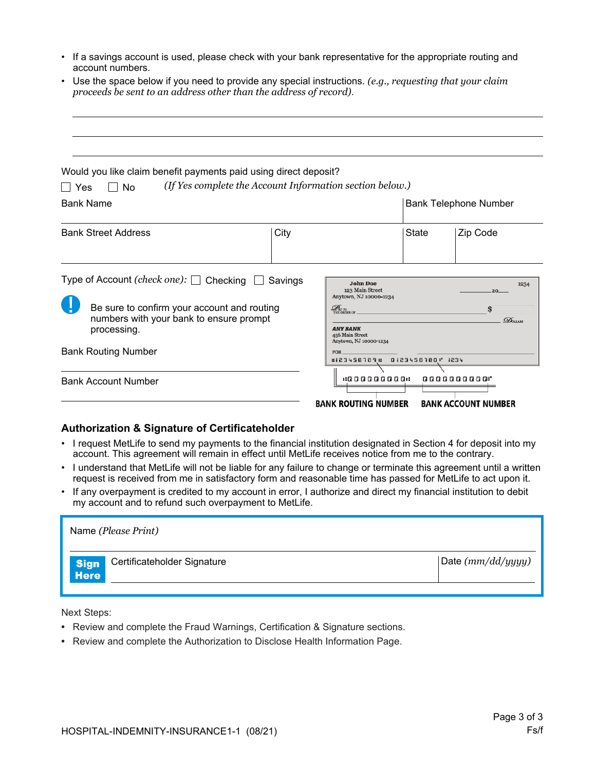- If a savings account is used, please check with your bank representative for the appropriate routing and account numbers.
- Use the space below if you need to provide any special instructions. *(e.g., requesting that your claim proceeds be sent to an address other than the address of record)*.

| Would you like claim benefit payments paid using direct deposit?                                      |         |                                                                                                          |                                  |
|-------------------------------------------------------------------------------------------------------|---------|----------------------------------------------------------------------------------------------------------|----------------------------------|
| No<br>l Yes                                                                                           |         | (If Yes complete the Account Information section below.)                                                 |                                  |
| <b>Bank Name</b>                                                                                      |         |                                                                                                          | <b>Bank Telephone Number</b>     |
| <b>Bank Street Address</b>                                                                            | City    |                                                                                                          | <b>State</b><br>Zip Code         |
| Type of Account (check one): $\Box$ Checking                                                          | Savings | <b>John Doe</b><br>123 Main Street<br>Anytown, NJ 10000-1234                                             | 1234<br>20                       |
| Be sure to confirm your account and routing<br>numbers with your bank to ensure prompt<br>processing. |         | $\mathcal{D}_{\text{ATTO}}$ THE ORDER OF<br><b>ANY BANK</b><br>456 Main Street<br>Anytown, NJ 10000-1234 | \$<br>$\mathcal{D}_{\text{max}}$ |
| <b>Bank Routing Number</b>                                                                            |         | FOR.<br>#123456789# 0123456780 1234                                                                      |                                  |
| <b>Bank Account Number</b>                                                                            |         | <b>1:000000001:</b>                                                                                      | 0000000000                       |
|                                                                                                       |         | <b>BANK ROUTING NUMBER</b>                                                                               | <b>BANK ACCOUNT NUMBER</b>       |

#### **Authorization & Signature of Certificateholder**

- I request MetLife to send my payments to the financial institution designated in Section 4 for deposit into my account. This agreement will remain in effect until MetLife receives notice from me to the contrary.
- I understand that MetLife will not be liable for any failure to change or terminate this agreement until a written request is received from me in satisfactory form and reasonable time has passed for MetLife to act upon it.
- If any overpayment is credited to my account in error, I authorize and direct my financial institution to debit my account and to refund such overpayment to MetLife.

|                            | Name (Please Print)         |                     |
|----------------------------|-----------------------------|---------------------|
| <b>Sign</b><br><b>Here</b> | Certificateholder Signature | Date $(mm/dd/yyyy)$ |
|                            |                             |                     |

Next Steps:

- Review and complete the Fraud Warnings, Certification & Signature sections.
- Review and complete the Authorization to Disclose Health Information Page.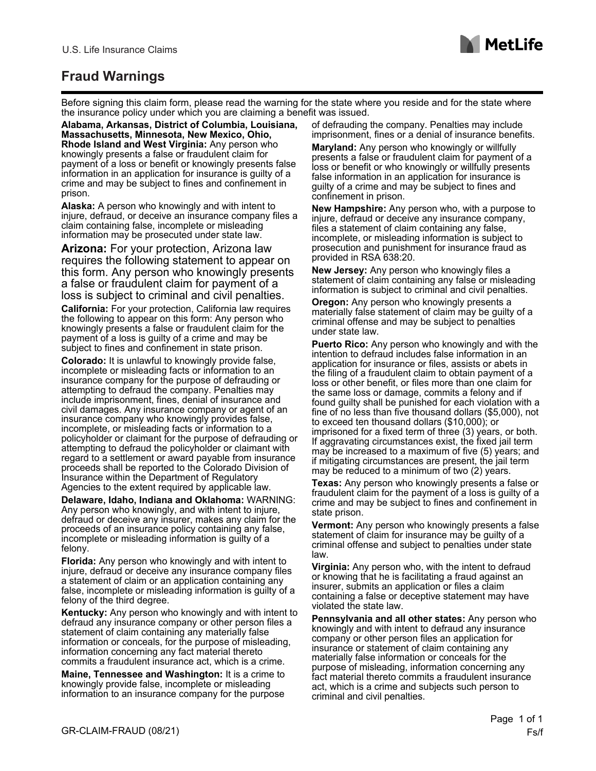

# **Fraud Warnings**

Before signing this claim form, please read the warning for the state where you reside and for the state where the insurance policy under which you are claiming a benefit was issued.

**Alabama, Arkansas, District of Columbia, Louisiana, Massachusetts, Minnesota, New Mexico, Ohio, Rhode Island and West Virginia:** Any person who knowingly presents a false or fraudulent claim for payment of a loss or benefit or knowingly presents false information in an application for insurance is guilty of a crime and may be subject to fines and confinement in prison.

**Alaska:** A person who knowingly and with intent to injure, defraud, or deceive an insurance company files a claim containing false, incomplete or misleading information may be prosecuted under state law.

**Arizona:** For your protection, Arizona law requires the following statement to appear on this form. Any person who knowingly presents a false or fraudulent claim for payment of a loss is subject to criminal and civil penalties.

**California:** For your protection, California law requires the following to appear on this form: Any person who knowingly presents a false or fraudulent claim for the payment of a loss is guilty of a crime and may be subject to fines and confinement in state prison.

**Colorado:** It is unlawful to knowingly provide false, incomplete or misleading facts or information to an insurance company for the purpose of defrauding or attempting to defraud the company. Penalties may include imprisonment, fines, denial of insurance and civil damages. Any insurance company or agent of an insurance company who knowingly provides false, incomplete, or misleading facts or information to a policyholder or claimant for the purpose of defrauding or attempting to defraud the policyholder or claimant with regard to a settlement or award payable from insurance proceeds shall be reported to the Colorado Division of Insurance within the Department of Regulatory Agencies to the extent required by applicable law.

**Delaware, Idaho, Indiana and Oklahoma:** WARNING: Any person who knowingly, and with intent to injure, defraud or deceive any insurer, makes any claim for the proceeds of an insurance policy containing any false, incomplete or misleading information is guilty of a felony.

**Florida:** Any person who knowingly and with intent to injure, defraud or deceive any insurance company files a statement of claim or an application containing any false, incomplete or misleading information is guilty of a felony of the third degree.

**Kentucky:** Any person who knowingly and with intent to defraud any insurance company or other person files a statement of claim containing any materially false information or conceals, for the purpose of misleading, information concerning any fact material thereto commits a fraudulent insurance act, which is a crime.

**Maine, Tennessee and Washington:** It is a crime to knowingly provide false, incomplete or misleading information to an insurance company for the purpose of defrauding the company. Penalties may include imprisonment, fines or a denial of insurance benefits.

**Maryland:** Any person who knowingly or willfully presents a false or fraudulent claim for payment of a loss or benefit or who knowingly or willfully presents false information in an application for insurance is guilty of a crime and may be subject to fines and confinement in prison.

**New Hampshire:** Any person who, with a purpose to injure, defraud or deceive any insurance company, files a statement of claim containing any false, incomplete, or misleading information is subject to prosecution and punishment for insurance fraud as provided in RSA 638:20.

**New Jersey:** Any person who knowingly files a statement of claim containing any false or misleading information is subject to criminal and civil penalties.

**Oregon:** Any person who knowingly presents a materially false statement of claim may be guilty of a criminal offense and may be subject to penalties under state law.

**Puerto Rico:** Any person who knowingly and with the intention to defraud includes false information in an application for insurance or files, assists or abets in the filing of a fraudulent claim to obtain payment of a loss or other benefit, or files more than one claim for the same loss or damage, commits a felony and if found guilty shall be punished for each violation with a fine of no less than five thousand dollars (\$5,000), not to exceed ten thousand dollars (\$10,000); or imprisoned for a fixed term of three (3) years, or both. If aggravating circumstances exist, the fixed jail term may be increased to a maximum of five (5) years; and if mitigating circumstances are present, the jail term may be reduced to a minimum of two (2) years.

**Texas:** Any person who knowingly presents a false or fraudulent claim for the payment of a loss is guilty of a crime and may be subject to fines and confinement in state prison.

**Vermont:** Any person who knowingly presents a false statement of claim for insurance may be guilty of a criminal offense and subject to penalties under state law.

**Virginia:** Any person who, with the intent to defraud or knowing that he is facilitating a fraud against an insurer, submits an application or files a claim containing a false or deceptive statement may have violated the state law.

**Pennsylvania and all other states:** Any person who knowingly and with intent to defraud any insurance company or other person files an application for insurance or statement of claim containing any materially false information or conceals for the purpose of misleading, information concerning any fact material thereto commits a fraudulent insurance act, which is a crime and subjects such person to criminal and civil penalties.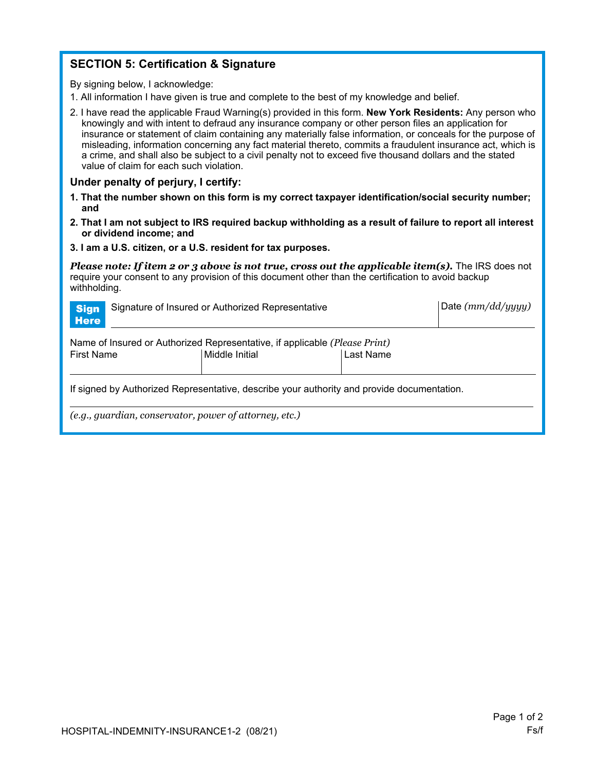## **SECTION 5: Certification & Signature**

By signing below, I acknowledge:

- 1. All information I have given is true and complete to the best of my knowledge and belief.
- 2. I have read the applicable Fraud Warning(s) provided in this form. **New York Residents:** Any person who knowingly and with intent to defraud any insurance company or other person files an application for insurance or statement of claim containing any materially false information, or conceals for the purpose of misleading, information concerning any fact material thereto, commits a fraudulent insurance act, which is a crime, and shall also be subject to a civil penalty not to exceed five thousand dollars and the stated value of claim for each such violation.

#### **Under penalty of perjury, I certify:**

- **1. That the number shown on this form is my correct taxpayer identification/social security number; and**
- **2. That I am not subject to IRS required backup withholding as a result of failure to report all interest or dividend income; and**
- **3. I am a U.S. citizen, or a U.S. resident for tax purposes.**

*Please note: If item 2 or 3 above is not true, cross out the applicable item(s).* The IRS does not require your consent to any provision of this document other than the certification to avoid backup withholding.

| <b>Sign</b><br><b>Here</b>                                                                                                     | Signature of Insured or Authorized Representative |  |  |  |
|--------------------------------------------------------------------------------------------------------------------------------|---------------------------------------------------|--|--|--|
| Name of Insured or Authorized Representative, if applicable (Please Print)<br>Last Name<br>Middle Initial<br><b>First Name</b> |                                                   |  |  |  |
| If signed by Authorized Representative, describe your authority and provide documentation.                                     |                                                   |  |  |  |
| (e.g., guardian, conservator, power of attorney, etc.)                                                                         |                                                   |  |  |  |